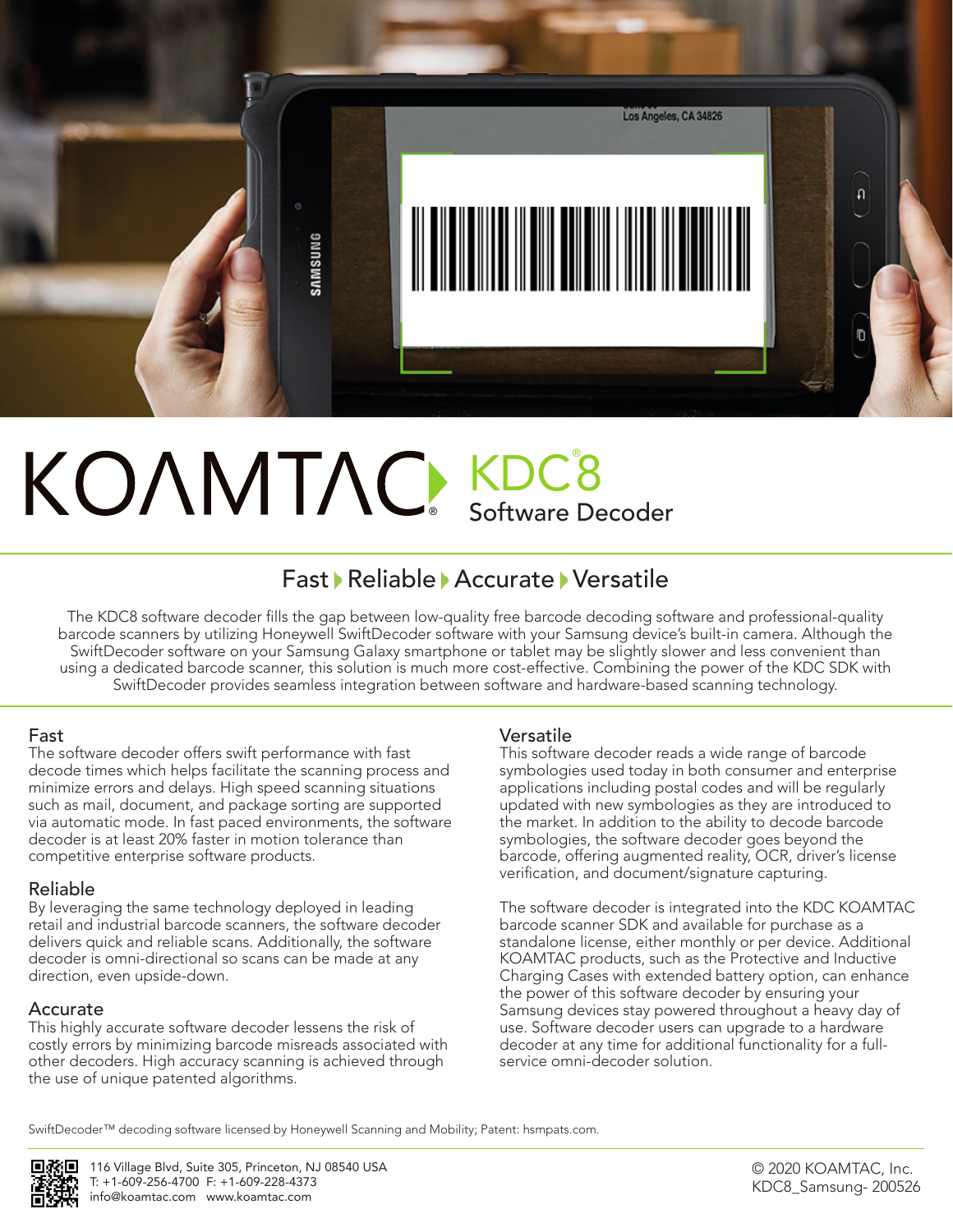

# ® KDC® 8 Software Decoder

## Fast Reliable Accurate Versatile

The KDC8 software decoder fills the gap between low-quality free barcode decoding software and professional-quality barcode scanners by utilizing Honeywell SwiftDecoder software with your Samsung device's built-in camera. Although the SwiftDecoder software on your Samsung Galaxy smartphone or tablet may be slightly slower and less convenient than using a dedicated barcode scanner, this solution is much more cost-effective. Combining the power of the KDC SDK with SwiftDecoder provides seamless integration between software and hardware-based scanning technology.

#### Fast

The software decoder offers swift performance with fast decode times which helps facilitate the scanning process and minimize errors and delays. High speed scanning situations such as mail, document, and package sorting are supported via automatic mode. In fast paced environments, the software decoder is at least 20% faster in motion tolerance than competitive enterprise software products.

### Reliable

By leveraging the same technology deployed in leading retail and industrial barcode scanners, the software decoder delivers quick and reliable scans. Additionally, the software decoder is omni-directional so scans can be made at any direction, even upside-down.

### Accurate

This highly accurate software decoder lessens the risk of costly errors by minimizing barcode misreads associated with other decoders. High accuracy scanning is achieved through the use of unique patented algorithms.

### Versatile

This software decoder reads a wide range of barcode symbologies used today in both consumer and enterprise applications including postal codes and will be regularly updated with new symbologies as they are introduced to the market. In addition to the ability to decode barcode symbologies, the software decoder goes beyond the barcode, offering augmented reality, OCR, driver's license verification, and document/signature capturing.

The software decoder is integrated into the KDC KOAMTAC barcode scanner SDK and available for purchase as a standalone license, either monthly or per device. Additional KOAMTAC products, such as the Protective and Inductive Charging Cases with extended battery option, can enhance the power of this software decoder by ensuring your Samsung devices stay powered throughout a heavy day of use. Software decoder users can upgrade to a hardware decoder at any time for additional functionality for a fullservice omni-decoder solution.

SwiftDecoder™ decoding software licensed by Honeywell Scanning and Mobility; Patent: hsmpats.com.